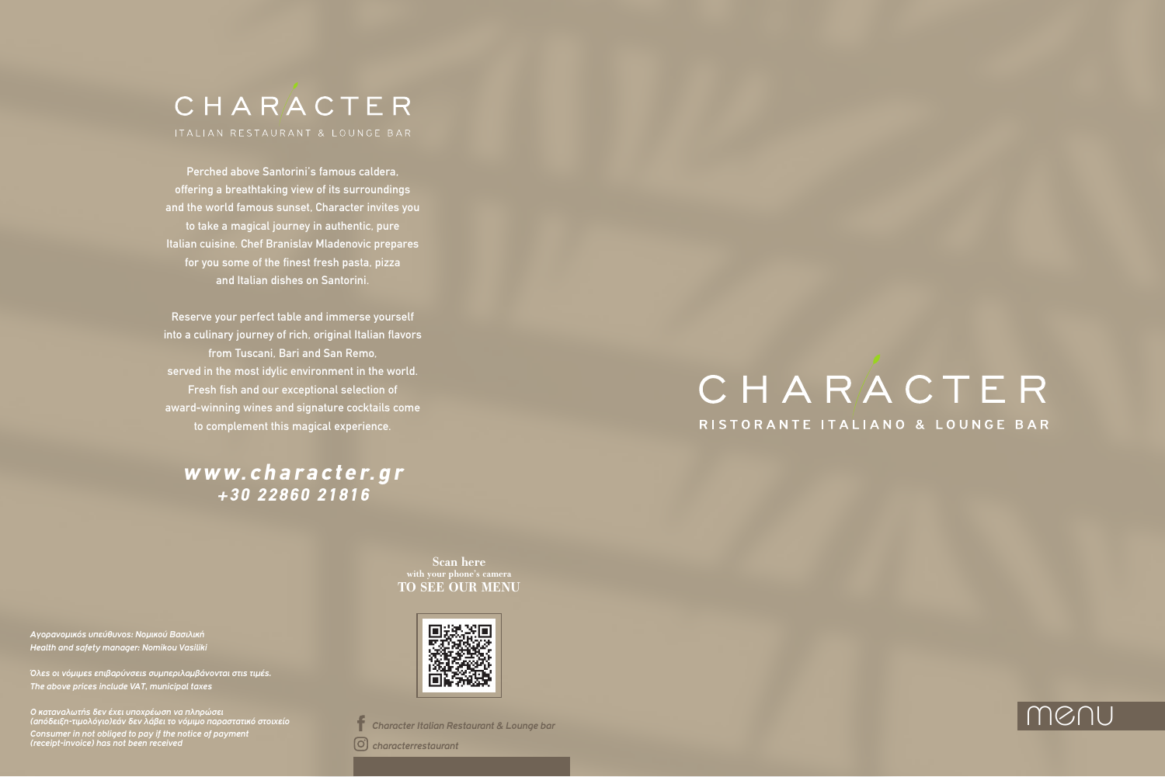# CHARACTER

Perched above Santorini's famous caldera, offering a breathtaking view of its surroundings and the world famous sunset, Character invites you to take a magical journey in authentic, pure Italian cuisine. Chef Branislav Mladenovic prepares for you some of the finest fresh pasta, pizza and Italian dishes on Santorini.

Reserve your perfect table and immerse yourself into a culinary journey of rich, original Italian flavors from Tuscani, Bari and San Remo, served in the most idylic environment in the world. Fresh fish and our exceptional selection of award-winning wines and signature cocktails come to complement this magical experience.

## **www.character.gr + 3 0 2 2 8 6 0 2 1 8 1 6**

*Αγορανομικός υπεύθυνος: Νομικού Βασιλική Health and safety manager: Nomikou Vasiliki*

*Όλες οι νόμιμες επιβαρύνσεις συμπεριλαμβάνονται στις τιμές. The above prices include VAT, municipal taxes*

*Ο καταναλωτής δεν έχει υποχρέωση να πληρώσει (απόδειξη-τιμολόγιο)εάν δεν λάβει το νόμιμο παραστατικό στοιχείο Consumer in not obliged to pay if the notice of payment (receipt-invoice) has not been received*



*characterrestaurant*

# CHARACTER RISTORANTE ITALIANO & LOUNGE BAR

*Character Italian Restaurant & Lounge bar*

**Scan here with your phone's camera TO SEE OUR MENU**

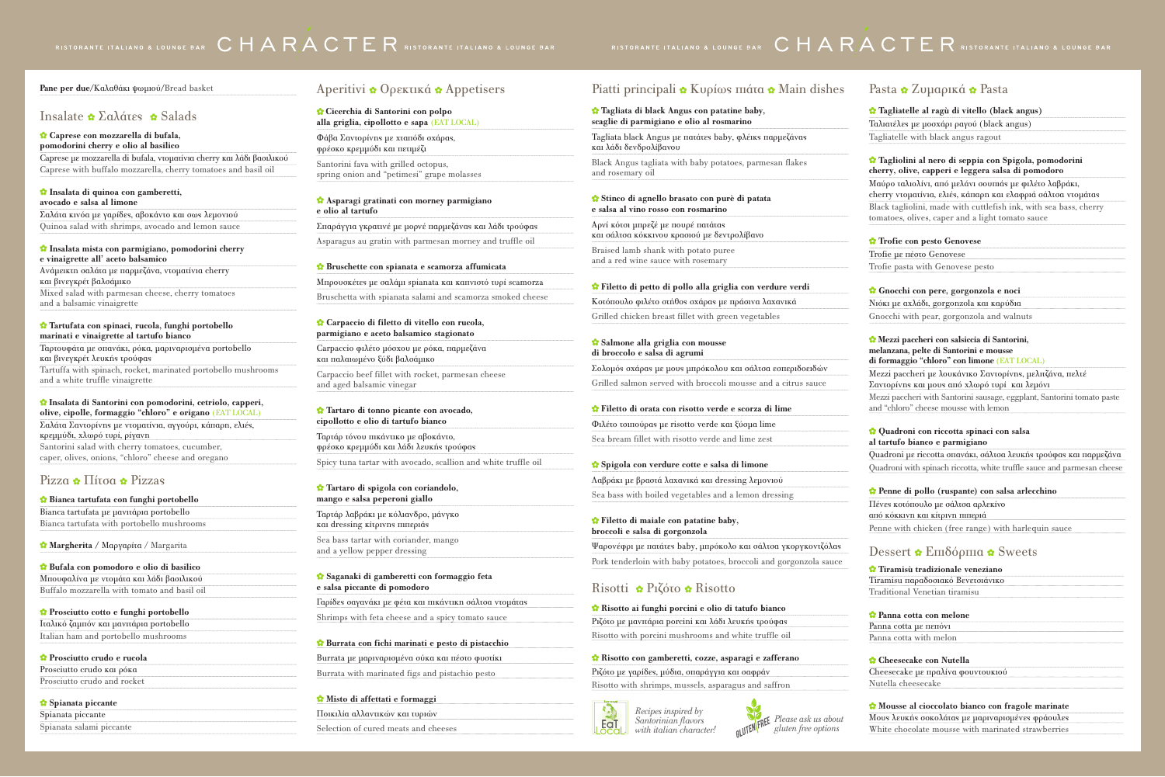Tagliata black Angus με πατάτες baby, φλέικς π και λάδι δενδρολίβανου

Black Angus tagliata with baby potatoes, parm and rosemary oil

#### **Tagliata di black Angus con patatine baby, scaglie di parmigiano e olio al rosmarino**

#### **Stinco di agnello brasato con purè di patata e salsa al vino rosso con rosmarino**

Αρνί κότσι µπρεζέ µε πουρέ πατάτας και σάλτσα κόκκινου κρασιού µε δεντρολίβανο

Braised lamb shank with potato puree and a red wine sauce with rosemary

#### *C* Filetto di petto di pollo alla griglia con ve

Κοτόπουλο φιλέτο στήθος σχάρας με πράσινα λ Grilled chicken breast fillet with green vegetables

#### **Salmone alla griglia con mousse di broccolo e salsa di agrumi**

Σολομός σχάρας με μους μπρόκολου και σάλτσ Grilled salmon served with broccoli mousse and a city

#### *f* Filetto di orata con risotto verde e scorza

Φιλέτο τσιπούρας με risotto verde και ξύσμα lime

Sea bream fillet with risotto verde and lime zest

#### **Spigola con verdure cotte e salsa di limone**

Λαβράκι με βραστά λαχανικά και dressing λεμο Sea bass with boiled vegetables and a lemon d

#### **Filetto di maiale con patatine baby, broccoli e salsa di gorgonzola**

Ψαρονέφρι με πατάτεs baby, μπρόκολο και σάλ Pork tenderloin with baby potatoes, broccoli a

#### Risotti **:** Pιζότο **:** Risotto

*x* Risotto ai funghi porcini e olio di tatufo b Ριζότο με μανιτάρια porcini και λάδι λευκής τρο Risotto with porcini mushrooms and white tru

#### *C* Risotto con gamberetti, cozze, asparagi e z Ριζότο με γαρίδεs, μύδια, σπαράγγια και σαφρά Risotto with shrimps, mussels, asparagus and



White chocolate mousse with marinated strawberries

**pomodorini cherry e olio al basilico** 

Caprese µε mozzarella di bufala, ντοµατίνια cherry και λάδι βασιλικού Caprese with buffalo mozzarella, cherry tomatoes and basil oil

#### **Insalata di quinoa con gamberetti, avocado e salsa al limone**

| * Main dishes                    | Pasta • Zυμαρικά • Pasta                                                                                                             |
|----------------------------------|--------------------------------------------------------------------------------------------------------------------------------------|
|                                  | <b>☆</b> Tagliatelle al ragù di vitello (black angus)                                                                                |
|                                  | Taλιατέλεs με μοσχάρι ραγού (black angus)                                                                                            |
| παρμεζάνας                       | Tagliatelle with black angus ragout                                                                                                  |
| esan flakes                      | <b>*</b> Tagliolini al nero di seppia con Spigola, pomodorini<br>cherry, olive, capperi e leggera salsa di pomodoro                  |
|                                  | Μαύρο ταλιολίνι, από μελάνι σουπιάs με φιλέτο λαβράκι,<br>cherry ντοματίνια, ελιέs, κάπαρη και ελαφριά σάλτσα ντομάταs               |
|                                  | Black tagliolini, made with cuttlefish ink, with sea bass, cherry<br>tomatoes, olives, caper and a light tomato sauce                |
|                                  | <b>☆</b> Trofie con pesto Genovese                                                                                                   |
|                                  | Trofie με πέστο Genovese                                                                                                             |
|                                  | Trofie pasta with Genovese pesto                                                                                                     |
| rdure verdi                      | <i>S</i> Gnocchi con pere, gorgonzola e noci                                                                                         |
| ιαχανικά                         | Νιόκι με αχλάδι, gorgonzola και καρύδια                                                                                              |
| bles                             | Gnocchi with pear, gorgonzola and walnuts                                                                                            |
|                                  |                                                                                                                                      |
|                                  | Mezzi paccheri con salsiccia di Santorini,<br>melanzana, pelte di Santorini e mousse<br>di formaggio "chloro" con limone (EAT LOCAL) |
| α εσπεριδοειδών                  | Mezzi paccheri με λουκάνικο Σαντορίνης, μελιτζάνα, πελτέ                                                                             |
| nd a citrus sauce                | Σαντορίνη και μους από χλωρό τυρί και λεμόνι                                                                                         |
| di lime                          | Mezzi paccheri with Santorini sausage, eggplant, Santorini tomato paste<br>and "chloro" cheese mousse with lemon                     |
| me                               |                                                                                                                                      |
| :st                              | <b>C</b> Quadroni con riccotta spinaci con salsa                                                                                     |
|                                  | al tartufo bianco e parmigiano                                                                                                       |
|                                  | Quadroni με riccotta σπανάκι, σάλτσα λευκή τρούφας και παρμεζάνα                                                                     |
| νιού                             | Quadroni with spinach riccotta, white truffle sauce and parmesan cheese                                                              |
|                                  | Penne di pollo (ruspante) con salsa arlecchino                                                                                       |
| lressing                         | Πένες κοτόπουλο με σάλτσα αρλεκίνο                                                                                                   |
|                                  | από κόκκινη και κίτρινη πιπεριά                                                                                                      |
|                                  | Penne with chicken (free range) with harlequin sauce                                                                                 |
| ιτσα γκοργκοντζόλαs              | Dessert $\bullet$ Em $\delta$ ópma $\bullet$ Sweets                                                                                  |
| nd gorgonzola sauce              |                                                                                                                                      |
|                                  | <b>*</b> Tiramisù tradizionale veneziano                                                                                             |
|                                  | Tiramisu παραδοσιακό Βενετσιάνικο<br><b>Traditional Venetian tiramisu</b>                                                            |
|                                  |                                                                                                                                      |
| ianco                            | <b>Panna cotta con melone</b>                                                                                                        |
| ούφαs                            | Panna cotta µe nenóvi                                                                                                                |
| <b>ffle</b> oil                  | Panna cotta with melon                                                                                                               |
| zafferano                        | <b>Cheesecake con Nutella</b>                                                                                                        |
|                                  | Cheesecake με πραλίνα φουντουκιού                                                                                                    |
| saffron                          | Nutella cheesecake                                                                                                                   |
|                                  |                                                                                                                                      |
|                                  | Mousse al cioccolato bianco con fragole marinate                                                                                     |
| $\mathbf{E}$ Please ask us about | Mous λευκή σοκολάταs με μαριναρισμένεs φράουλεs                                                                                      |

Σαλάτα κινόα µε γαρίδες, αβοκάντο και σως λεµονιού Quinoa salad with shrimps, avocado and lemon sauce

#### **Insalata mista con parmigiano, pomodorini cherry e vinaigrette all' aceto balsamico**

Ανάµεικτη σαλάτα µε παρµεζάνα, ντοµατίνια cherry και βινεγκρέτ βαλσάµικο Mixed salad with parmesan cheese, cherry tomatoes and a balsamic vinaigrette

#### **Tartufata con spinaci, rucola, funghi portobello marinati e vinaigrette al tartufo bianco**

Ταρτουφάτα µε σπανάκι, ρόκα, µαριναρισµένα portobello και βινεγκρέτ λευκής τρούφας Tartuffa with spinach, rocket, marinated portobello mushrooms and a white truffle vinaigrette

#### **Insalata di Santorini con pomodorini, cetriolo, capperi,**

**olive, cipolle, formaggio "chloro" e origano** (EAT LOCAL) Σαλάτα Σαντορίνης µε ντοµατίνια, αγγούρι, κάπαρη, ελιές, κρεµµύδι, χλωρό τυρί, ρίγανη Santorini salad with cherry tomatoes, cucumber, caper, olives, onions, "chloro" cheese and oregano

#### Pizza  $\bullet$  Πίτσα  $\bullet$  Pizzas

**Cicerchia di Santorini con polpo alla griglia, cipollotto e sapa** (EAT LOCAL)

Φάβα Σαντορίνης με χταπόδι σχάρας, φρέσκο κρεμμύδι και πετιµέζι

Santorini fava with grilled octopus, spring onion and "petimesi" grape molasses

#### **Asparagi gratinati con morney parmigiano e olio al tartufo**

Σπαράγγια γκρατινέ µε μορνέ παρµεζάνας και λάδι τρούφας Asparagus au gratin with parmesan morney and truffle oil

#### **Bruschette con spianata e scamorza affumicata**

Μπρουσκέτες µε σαλάμι spianata και καπνιστό τυρί scamorza

Bruschetta with spianata salami and scamorza smoked cheese

#### **Carpaccio di filetto di vitello con rucola, parmigiano e aceto balsamico stagionato**

Carpaccio φιλέτο µόσχου µε ρόκα, παρµεζάνα και παλαιωµένο ξύδι βαλσάµικο Carpaccio beef fillet with rocket, parmesan cheese

and aged balsamic vinegar

#### **Tartaro di tonno picante con avocado, cipollotto e olio di tartufo bianco**

Ταρτάρ τόνου πικάντικο με αβοκάντο, φρέσκο κρεμμύδι και λάδι λευκής τρούφας Spicy tuna tartar with avocado, scallion and white truffle oil

#### **Tartaro di spigola con coriandolo, mango e salsa peperoni giallo**

Ταρτάρ λαβράκι µε κόλιανδρο, µάνγκο και dressing κίτρινης πιπεριάς

Sea bass tartar with coriander, mango and a yellow pepper dressing

#### **Saganaki di gamberetti con formaggio feta e salsa piccante di pomodoro**

Γαρίδες σαγανάκι µε φέτα και πικάντικη σάλτσα ντοµάτας Shrimps with feta cheese and a spicy tomato sauce

#### **Burrata con fichi marinati e pesto di pistacchio**

Burrata με μαριναρισμένα σύκα και πέστο φυστίκι Burrata with marinated figs and pistachio pesto

#### **Misto di affettati e formaggi**

Ποικιλία αλλαντικών και τυριών Selection of cured meats and cheeses

## Piatti principali  $\bullet$  Kυρίως πιάτα

**Bianca tartufata con funghi portobello** Bianca tartufata µε μανιτάρια portobello Bianca tartufata with portobello mushrooms

**Margherita /** Μαργαρίτα / Margarita

#### **Bufala con pomodoro e olio di basilico**

Μπουφαλίνα µε ντοµάτα και λάδι βασιλικού Buffalo mozzarella with tomato and basil oil

#### **Prosciutto cotto e funghi portobello**

Iταλικό ζαµπόν και µανιτάρια portobello Italian ham and portobello mushrooms

#### **Prosciutto crudo e rucola**

| Prosciutto crudo kai póka   |  |  |
|-----------------------------|--|--|
| Prosciutto crudo and rocket |  |  |

#### **Spianata piccante**

| Spianata piccante        |
|--------------------------|
| Spianata salami piccante |

## Aperitivi **:** Oρεκτικά **:** Appetisers

## RISTORANTE ITALIANO & LOUNGE BAR  $\,$  C H A R $\,$ A C T E R RISTORANTE ITALIANO & LOUNGE BAR

#### **Pane per due/**Καλαθάκι ψωµιού**/**Bread basket

#### Insalate  $\triangle$  Σαλάτες  $\triangle$  Salads

#### *Caprese con mozzarella di bufala*

*gluten free options*

# RISTORANTE ITALIANO & LOUNGE BAR CHARACTE R RISTORANTE ITALIANO & LOUNGE BAR

*Recipes inspired by Santorinian flavors with italian character!*

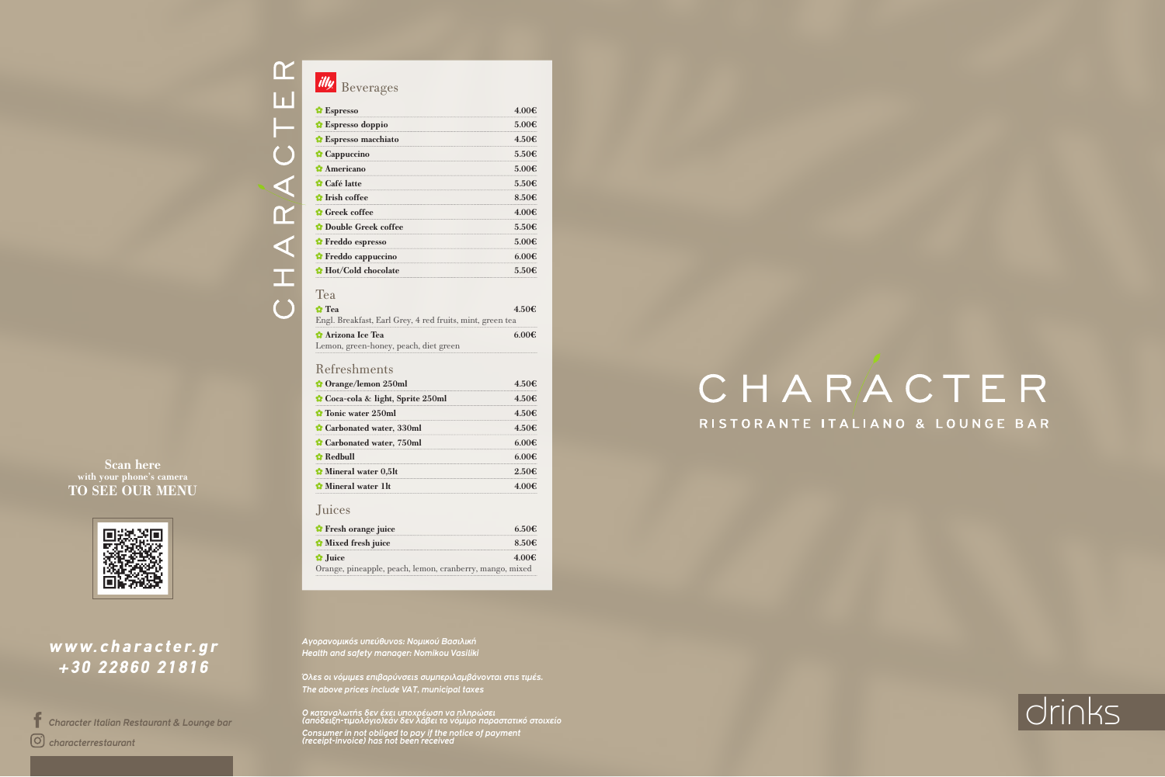# CHARA

 $\alpha$ 

LT.

#### *Αγορανομικός υπεύθυνος: Νομικού Βασιλική Health and safety manager: Nomikou Vasiliki*

*Ο καταναλωτής δεν έχει υποχρέωση να πληρώσει (απόδειξη-τιμολόγιο)εάν δεν λάβει το νόμιμο παραστατικό στοιχείο Consumer in not obliged to pay if the notice of payment (receipt-invoice) has not been received*  $\mathcal{C}$  *Character Italian Restaurant & Lounge bar* and the constant of the principal of the police of principal development of the police of principal development of the police of principal development of the police of

*Όλες οι νόμιμες επιβαρύνσεις συμπεριλαμβάνονται στις τιμές. The above prices include VAT, municipal taxes*

| <b>C</b> Orange/lemon 250ml     |            |
|---------------------------------|------------|
| Coca-cola & light, Sprite 250ml |            |
| <b>C</b> Tonic water 250ml      | 450€       |
| Carbonated water, 330ml         | 4.50€      |
| Carbonated water, 750ml         |            |
| $\Omega$ Redbull                |            |
| Mineral water 0,5lt             | $2.50 \in$ |
| Mineral water 1lt               |            |

 **Arizona Ice Tea** 6.00€

| illy Beverages                                            |            |
|-----------------------------------------------------------|------------|
| $\bullet$ Espresso                                        | 4.00€      |
| <b>C</b> Espresso doppio                                  | 5.00€      |
| <b>*</b> Espresso macchiato                               | 4.50€      |
| <b>Cappuccino</b>                                         | 5.50€      |
| <b>Americano</b>                                          | 5.00€      |
| <i><b>☆</b></i> Café latte                                | 5.50€      |
| <b>*</b> Irish coffee                                     | 8.50€      |
| <b>C</b> reek coffee                                      | 4.00€      |
| <b>Double Greek coffee</b>                                | 5.50€      |
| <b><i>C</i></b> Freddo espresso                           | 5.00€      |
| † Freddo cappuccino                                       | $6.00 \in$ |
| <b>☆</b> Hot/Cold chocolate                               | 5.50€      |
| Tea                                                       |            |
| $\mathbf{\Omega}$ Tea                                     | 4.50€      |
| Engl. Breakfast, Earl Grey, 4 red fruits, mint, green tea |            |

| <b>*</b> Fresh orange juice                              | 6.50€      |
|----------------------------------------------------------|------------|
| <b>Mixed fresh juice</b>                                 | $8.50 \in$ |
| $\Omega$ Juice                                           | 4 00€      |
| Orange, pineapple, peach, lemon, cranberry, mango, mixed |            |

Lemon, green-honey, peach, diet green

## Refreshments

## Juices

## **www.character.gr + 3 0 2 2 8 6 0 2 1 8 1 6**

## **Scan here with your phone's camera TO SEE OUR MENU**



*characterrestaurant*

# CHARACTER RISTORANTE ITALIANO & LOUNGE BAR